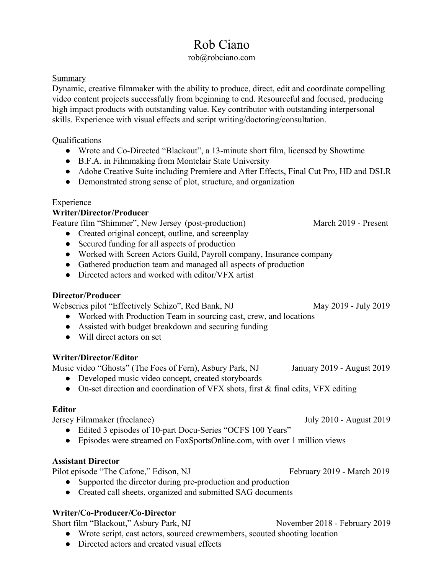# Rob Ciano

## rob@robciano.com

## Summary

Dynamic, creative filmmaker with the ability to produce, direct, edit and coordinate compelling video content projects successfully from beginning to end. Resourceful and focused, producing high impact products with outstanding value. Key contributor with outstanding interpersonal skills. Experience with visual effects and script writing/doctoring/consultation.

### Qualifications

- Wrote and Co-Directed "Blackout", a 13-minute short film, licensed by Showtime
- B.F.A. in Filmmaking from Montclair State University
- Adobe Creative Suite including Premiere and After Effects, Final Cut Pro, HD and DSLR
- Demonstrated strong sense of plot, structure, and organization

# Experience

# **Writer/Director/Producer**

Feature film "Shimmer", New Jersey (post-production) March 2019 - Present

- Created original concept, outline, and screenplay
- Secured funding for all aspects of production
- Worked with Screen Actors Guild, Payroll company, Insurance company
- Gathered production team and managed all aspects of production
- Directed actors and worked with editor/VFX artist

# **Director/Producer**

Webseries pilot "Effectively Schizo", Red Bank, NJ May 2019 - July 2019

- Worked with Production Team in sourcing cast, crew, and locations
- Assisted with budget breakdown and securing funding
- Will direct actors on set

# **Writer/Director/Editor**

Music video "Ghosts" (The Foes of Fern), Asbury Park, NJ January 2019 - August 2019

- Developed music video concept, created storyboards
- On-set direction and coordination of VFX shots, first & final edits, VFX editing

# **Editor**

Jersey Filmmaker (freelance) July 2010 - August 2019

- Edited 3 episodes of 10-part Docu-Series "OCFS 100 Years"
- Episodes were streamed on FoxSportsOnline.com, with over 1 million views

# **Assistant Director**

Pilot episode "The Cafone," Edison, NJ February 2019 - March 2019

- Supported the director during pre-production and production
- Created call sheets, organized and submitted SAG documents

# **Writer/Co-Producer/Co-Director**

Short film "Blackout," Asbury Park, NJ November 2018 - February 2019

- Wrote script, cast actors, sourced crewmembers, scouted shooting location
- Directed actors and created visual effects